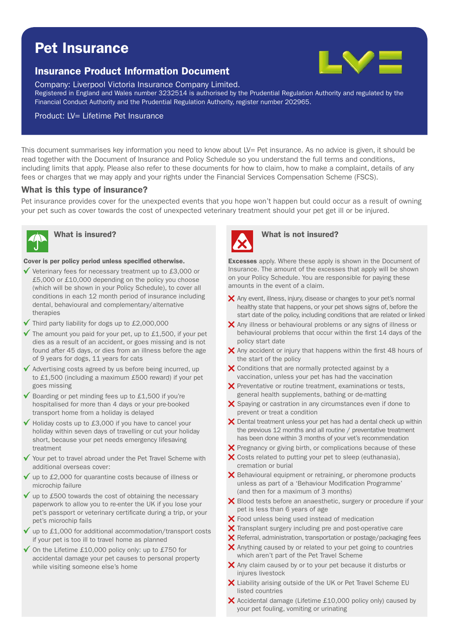# Pet Insurance

# Insurance Product Information Document



Company: Liverpool Victoria Insurance Company Limited.

Registered in England and Wales number 3232514 is authorised by the Prudential Regulation Authority and regulated by the Financial Conduct Authority and the Prudential Regulation Authority, register number 202965.

#### Product: LV= Lifetime Pet Insurance

This document summarises key information you need to know about LV= Pet insurance. As no advice is given, it should be read together with the Document of Insurance and Policy Schedule so you understand the full terms and conditions, including limits that apply. Please also refer to these documents for how to claim, how to make a complaint, details of any fees or charges that we may apply and your rights under the Financial Services Compensation Scheme (FSCS).

#### What is this type of insurance?

Pet insurance provides cover for the unexpected events that you hope won't happen but could occur as a result of owning your pet such as cover towards the cost of unexpected veterinary treatment should your pet get ill or be injured.



#### Cover is per policy period unless specified otherwise.

- $\checkmark$  Veterinary fees for necessary treatment up to £3,000 or £5,000 or £10,000 depending on the policy you choose (which will be shown in your Policy Schedule), to cover all conditions in each 12 month period of insurance including dental, behavioural and complementary/alternative therapies
- $\sqrt{\ }$  Third party liability for dogs up to £2,000,000
- $\checkmark$  The amount you paid for your pet, up to £1,500, if your pet dies as a result of an accident, or goes missing and is not found after 45 days, or dies from an illness before the age of 9 years for dogs, 11 years for cats
- $\checkmark$  Advertising costs agreed by us before being incurred, up to £1,500 (including a maximum £500 reward) if your pet goes missing
- Boarding or pet minding fees up to £1,500 if you're hospitalised for more than 4 days or your pre-booked transport home from a holiday is delayed
- Holiday costs up to £3,000 if you have to cancel your holiday within seven days of travelling or cut your holiday short, because your pet needs emergency lifesaving treatment
- Your pet to travel abroad under the Pet Travel Scheme with additional overseas cover:
- $\checkmark$  up to £2,000 for quarantine costs because of illness or microchip failure
- $\checkmark$  up to £500 towards the cost of obtaining the necessary paperwork to allow you to re-enter the UK if you lose your pet's passport or veterinary certificate during a trip, or your pet's microchip fails
- up to £1,000 for additional accommodation/transport costs if your pet is too ill to travel home as planned
- $\checkmark$  On the Lifetime £10,000 policy only: up to £750 for accidental damage your pet causes to personal property while visiting someone else's home



## What is insured? What is not insured?

**Excesses** apply. Where these apply is shown in the Document of Insurance. The amount of the excesses that apply will be shown on your Policy Schedule. You are responsible for paying these amounts in the event of a claim.

- $\times$  Any event, illness, injury, disease or changes to your pet's normal healthy state that happens, or your pet shows signs of, before the start date of the policy, including conditions that are related or linked
- X Any illness or behavioural problems or any signs of illness or behavioural problems that occur within the first 14 days of the policy start date
- $\times$  Any accident or injury that happens within the first 48 hours of the start of the policy
- X Conditions that are normally protected against by a vaccination, unless your pet has had the vaccination
- $\boldsymbol{\times}$  Preventative or routine treatment, examinations or tests, general health supplements, bathing or de-matting
- $\boldsymbol{\times}$  Spaying or castration in any circumstances even if done to prevent or treat a condition
- $\boldsymbol{\times}$  Dental treatment unless your pet has had a dental check up within the previous 12 months and all routine / preventative treatment has been done within 3 months of your vet's recommendation
- $\boldsymbol{\times}$  Pregnancy or giving birth, or complications because of these
- $\boldsymbol{\times}$  Costs related to putting your pet to sleep (euthanasia), cremation or burial
- $\boldsymbol{\times}$  Behavioural equipment or retraining, or pheromone products unless as part of a 'Behaviour Modification Programme' (and then for a maximum of 3 months)
- X Blood tests before an anaesthetic, surgery or procedure if your pet is less than 6 years of age
- X Food unless being used instead of medication
- $\boldsymbol{\times}$  Transplant surgery including pre and post-operative care
- $\times$  Referral, administration, transportation or postage/packaging fees
- $\boldsymbol{\times}$  Anything caused by or related to your pet going to countries which aren't part of the Pet Travel Scheme
- $\boldsymbol{\times}$  Any claim caused by or to your pet because it disturbs or injures livestock
- X Liability arising outside of the UK or Pet Travel Scheme EU listed countries
- $\bm{\times}$  Accidental damage (Lifetime £10,000 policy only) caused by your pet fouling, vomiting or urinating